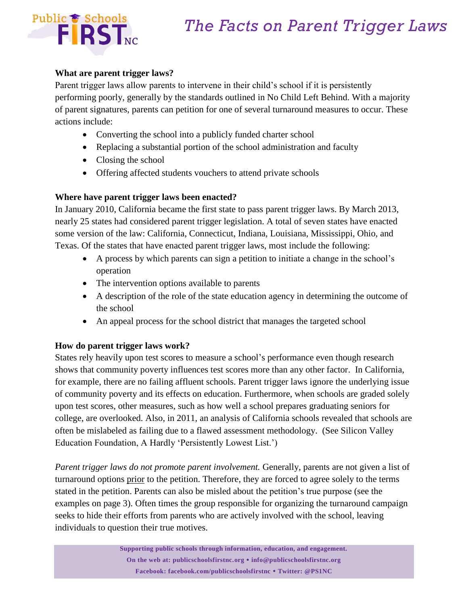

### **What are parent trigger laws?**

Parent trigger laws allow parents to intervene in their child's school if it is persistently performing poorly, generally by the standards outlined in No Child Left Behind. With a majority of parent signatures, parents can petition for one of several turnaround measures to occur. These actions include:

- Converting the school into a publicly funded charter school
- Replacing a substantial portion of the school administration and faculty
- Closing the school
- Offering affected students vouchers to attend private schools

### **Where have parent trigger laws been enacted?**

In January 2010, California became the first state to pass parent trigger laws. By March 2013, nearly 25 states had considered parent trigger legislation. A total of seven states have enacted some version of the law: California, Connecticut, Indiana, Louisiana, Mississippi, Ohio, and Texas. Of the states that have enacted parent trigger laws, most include the following:

- A process by which parents can sign a petition to initiate a change in the school's operation
- The intervention options available to parents
- A description of the role of the state education agency in determining the outcome of the school
- An appeal process for the school district that manages the targeted school

### **How do parent trigger laws work?**

States rely heavily upon test scores to measure a school's performance even though research shows that community poverty influences test scores more than any other factor. In California, for example, there are no failing affluent schools. Parent trigger laws ignore the underlying issue of community poverty and its effects on education. Furthermore, when schools are graded solely upon test scores, other measures, such as how well a school prepares graduating seniors for college, are overlooked. Also, in 2011, an analysis of California schools revealed that schools are often be mislabeled as failing due to a flawed assessment methodology. (See Silicon Valley Education Foundation, A Hardly 'Persistently Lowest List.')

Parent trigger laws do not promote parent involvement. Generally, parents are not given a list of turnaround options prior to the petition. Therefore, they are forced to agree solely to the terms stated in the petition. Parents can also be misled about the petition's true purpose (see the examples on page 3). Often times the group responsible for organizing the turnaround campaign seeks to hide their efforts from parents who are actively involved with the school, leaving individuals to question their true motives.

> **Supporting public schools through information, education, and engagement. On the web at: publicschoolsfirstnc.org info@publicschoolsfirstnc.org Facebook: facebook.com/publicschoolsfirstnc Twitter: @PS1NC**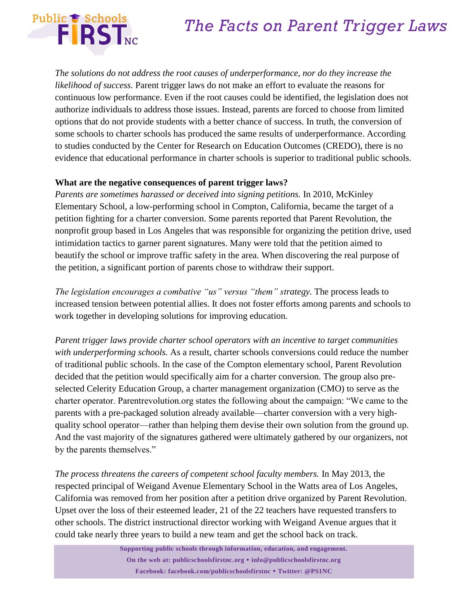

*The solutions do not address the root causes of underperformance, nor do they increase the likelihood of success.* Parent trigger laws do not make an effort to evaluate the reasons for continuous low performance. Even if the root causes could be identified, the legislation does not authorize individuals to address those issues. Instead, parents are forced to choose from limited options that do not provide students with a better chance of success. In truth, the conversion of some schools to charter schools has produced the same results of underperformance. According to studies conducted by the Center for Research on Education Outcomes (CREDO), there is no evidence that educational performance in charter schools is superior to traditional public schools.

#### **What are the negative consequences of parent trigger laws?**

*Parents are sometimes harassed or deceived into signing petitions.* In 2010, McKinley Elementary School, a low-performing school in Compton, California, became the target of a petition fighting for a charter conversion. Some parents reported that Parent Revolution, the nonprofit group based in Los Angeles that was responsible for organizing the petition drive, used intimidation tactics to garner parent signatures. Many were told that the petition aimed to beautify the school or improve traffic safety in the area. When discovering the real purpose of the petition, a significant portion of parents chose to withdraw their support.

*The legislation encourages a combative "us" versus "them" strategy.* The process leads to increased tension between potential allies. It does not foster efforts among parents and schools to work together in developing solutions for improving education.

*Parent trigger laws provide charter school operators with an incentive to target communities with underperforming schools.* As a result, charter schools conversions could reduce the number of traditional public schools. In the case of the Compton elementary school, Parent Revolution decided that the petition would specifically aim for a charter conversion. The group also preselected Celerity Education Group, a charter management organization (CMO) to serve as the charter operator. Parentrevolution.org states the following about the campaign: "We came to the parents with a pre-packaged solution already available—charter conversion with a very highquality school operator—rather than helping them devise their own solution from the ground up. And the vast majority of the signatures gathered were ultimately gathered by our organizers, not by the parents themselves."

*The process threatens the careers of competent school faculty members.* In May 2013, the respected principal of Weigand Avenue Elementary School in the Watts area of Los Angeles, California was removed from her position after a petition drive organized by Parent Revolution. Upset over the loss of their esteemed leader, 21 of the 22 teachers have requested transfers to other schools. The district instructional director working with Weigand Avenue argues that it could take nearly three years to build a new team and get the school back on track.

> **Supporting public schools through information, education, and engagement. On the web at: publicschoolsfirstnc.org info@publicschoolsfirstnc.org Facebook: facebook.com/publicschoolsfirstnc Twitter: @PS1NC**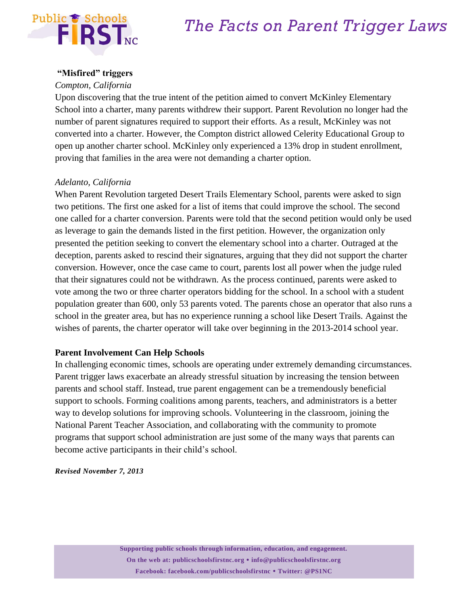

#### **"Misfired" triggers**

#### *Compton, California*

Upon discovering that the true intent of the petition aimed to convert McKinley Elementary School into a charter, many parents withdrew their support. Parent Revolution no longer had the number of parent signatures required to support their efforts. As a result, McKinley was not converted into a charter. However, the Compton district allowed Celerity Educational Group to open up another charter school. McKinley only experienced a 13% drop in student enrollment, proving that families in the area were not demanding a charter option.

#### *Adelanto, California*

When Parent Revolution targeted Desert Trails Elementary School, parents were asked to sign two petitions. The first one asked for a list of items that could improve the school. The second one called for a charter conversion. Parents were told that the second petition would only be used as leverage to gain the demands listed in the first petition. However, the organization only presented the petition seeking to convert the elementary school into a charter. Outraged at the deception, parents asked to rescind their signatures, arguing that they did not support the charter conversion. However, once the case came to court, parents lost all power when the judge ruled that their signatures could not be withdrawn. As the process continued, parents were asked to vote among the two or three charter operators bidding for the school. In a school with a student population greater than 600, only 53 parents voted. The parents chose an operator that also runs a school in the greater area, but has no experience running a school like Desert Trails. Against the wishes of parents, the charter operator will take over beginning in the 2013-2014 school year.

#### **Parent Involvement Can Help Schools**

In challenging economic times, schools are operating under extremely demanding circumstances. Parent trigger laws exacerbate an already stressful situation by increasing the tension between parents and school staff. Instead, true parent engagement can be a tremendously beneficial support to schools. Forming coalitions among parents, teachers, and administrators is a better way to develop solutions for improving schools. Volunteering in the classroom, joining the National Parent Teacher Association, and collaborating with the community to promote programs that support school administration are just some of the many ways that parents can become active participants in their child's school.

*Revised November 7, 2013*